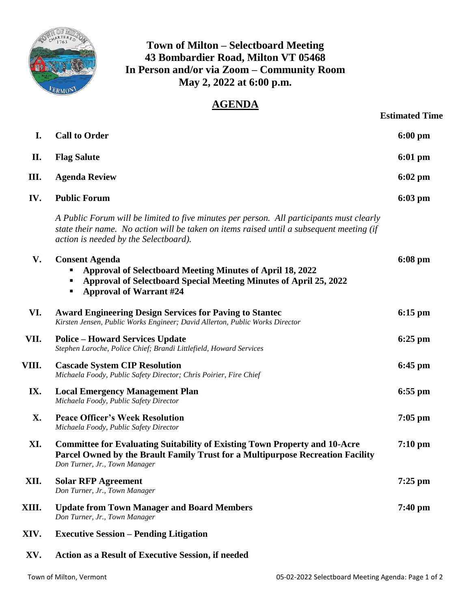

**Town of Milton – Selectboard Meeting 43 Bombardier Road, Milton VT 05468 In Person and/or via Zoom – Community Room May 2, 2022 at 6:00 p.m.**

## **AGENDA**

| <b>Estimated Time</b> |  |
|-----------------------|--|
|                       |  |

| I.    | <b>Call to Order</b>                                                                                                                                                                                                          | $6:00$ pm         |
|-------|-------------------------------------------------------------------------------------------------------------------------------------------------------------------------------------------------------------------------------|-------------------|
| П.    | <b>Flag Salute</b>                                                                                                                                                                                                            | $6:01 \text{ pm}$ |
| III.  | <b>Agenda Review</b>                                                                                                                                                                                                          | $6:02$ pm         |
| IV.   | <b>Public Forum</b>                                                                                                                                                                                                           | $6:03$ pm         |
|       | A Public Forum will be limited to five minutes per person. All participants must clearly<br>state their name. No action will be taken on items raised until a subsequent meeting (if<br>action is needed by the Selectboard). |                   |
| V.    | <b>Consent Agenda</b><br><b>Approval of Selectboard Meeting Minutes of April 18, 2022</b><br>Approval of Selectboard Special Meeting Minutes of April 25, 2022<br><b>Approval of Warrant #24</b>                              | $6:08 \text{ pm}$ |
| VI.   | <b>Award Engineering Design Services for Paving to Stantec</b><br>Kirsten Jensen, Public Works Engineer; David Allerton, Public Works Director                                                                                | $6:15 \text{ pm}$ |
| VII.  | <b>Police – Howard Services Update</b><br>Stephen Laroche, Police Chief; Brandi Littlefield, Howard Services                                                                                                                  | $6:25$ pm         |
| VIII. | <b>Cascade System CIP Resolution</b><br>Michaela Foody, Public Safety Director; Chris Poirier, Fire Chief                                                                                                                     | $6:45$ pm         |
| IX.   | <b>Local Emergency Management Plan</b><br>Michaela Foody, Public Safety Director                                                                                                                                              | $6:55$ pm         |
| X.    | <b>Peace Officer's Week Resolution</b><br>Michaela Foody, Public Safety Director                                                                                                                                              | $7:05$ pm         |
| XI.   | <b>Committee for Evaluating Suitability of Existing Town Property and 10-Acre</b><br>Parcel Owned by the Brault Family Trust for a Multipurpose Recreation Facility<br>Don Turner, Jr., Town Manager                          | $7:10 \text{ pm}$ |
| XII.  | <b>Solar RFP Agreement</b><br>Don Turner, Jr., Town Manager                                                                                                                                                                   | $7:25$ pm         |
| XIII. | <b>Update from Town Manager and Board Members</b><br>Don Turner, Jr., Town Manager                                                                                                                                            | $7:40$ pm         |
| XIV.  | <b>Executive Session – Pending Litigation</b>                                                                                                                                                                                 |                   |
|       |                                                                                                                                                                                                                               |                   |

**XV. Action as a Result of Executive Session, if needed**